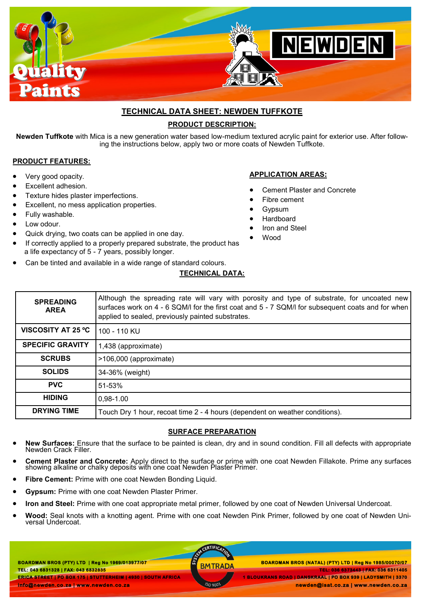

# **TECHNICAL DATA SHEET: NEWDEN TUFFKOTE PRODUCT DESCRIPTION:**

**Newden Tuffkote** with Mica is a new generation water based low-medium textured acrylic paint for exterior use. After following the instructions below, apply two or more coats of Newden Tuffkote.

**APPLICATION AREAS:**

 Fibre cement Gypsum Hardboard Iron and Steel

Wood

Cement Plaster and Concrete

#### **PRODUCT FEATURES:**

- Very good opacity.
- Excellent adhesion.
- Texture hides plaster imperfections.
- Excellent, no mess application properties.
- Fully washable.
- Low odour.
- Quick drying, two coats can be applied in one day.
- If correctly applied to a properly prepared substrate, the product has a life expectancy of 5 - 7 years, possibly longer.
- Can be tinted and available in a wide range of standard colours.

### **TECHNICAL DATA:**

| <b>SPREADING</b><br><b>AREA</b> | Although the spreading rate will vary with porosity and type of substrate, for uncoated new<br>surfaces work on 4 - 6 SQM/I for the first coat and 5 - 7 SQM/I for subsequent coats and for when<br>applied to sealed, previously painted substrates. |
|---------------------------------|-------------------------------------------------------------------------------------------------------------------------------------------------------------------------------------------------------------------------------------------------------|
| VISCOSITY AT 25 °C              | 100 - 110 KU                                                                                                                                                                                                                                          |
| <b>SPECIFIC GRAVITY</b>         | 1,438 (approximate)                                                                                                                                                                                                                                   |
| <b>SCRUBS</b>                   | >106,000 (approximate)                                                                                                                                                                                                                                |
| <b>SOLIDS</b>                   | 34-36% (weight)                                                                                                                                                                                                                                       |
| <b>PVC</b>                      | 51-53%                                                                                                                                                                                                                                                |
| <b>HIDING</b>                   | 0,98-1.00                                                                                                                                                                                                                                             |
| <b>DRYING TIME</b>              | Touch Dry 1 hour, recoat time 2 - 4 hours (dependent on weather conditions).                                                                                                                                                                          |

#### **SURFACE PREPARATION**

- **New Surfaces:** Ensure that the surface to be painted is clean, dry and in sound condition. Fill all defects with appropriate Newden Crack Filler.
- **Cement Plaster and Concrete:** Apply direct to the surface or prime with one coat Newden Fillakote. Prime any surfaces showing alkaline or chalky deposits with one coat Newden Plaster Primer.
- **Fibre Cement:** Prime with one coat Newden Bonding Liquid.
- **Gypsum:** Prime with one coat Newden Plaster Primer.
- **Iron and Steel:** Prime with one coat appropriate metal primer, followed by one coat of Newden Universal Undercoat.
- **Wood:** Seal knots with a knotting agent. Prime with one coat Newden Pink Primer, followed by one coat of Newden Universal Undercoat.

**BOARDMAN BROS (PTY) LTD | Reg No 1969/013977/07 TEL: 043 6831328 | FAX: 043 6832835 ERICA STREET | PO BOX 175 | STUTTERHEIM | 4930 | SOUTH AFRICA info@newden.co.za | www.newden.co.za** 

CERTIFICAT

 **BOARDMAN BROS (PTY) LTD | Reg No 1969/013977/07 BOARDMAN BROS (NATAL) (PTY) LTD | Reg No 1985/00070/07 TEL: 036 6373443 | FAX: 036 6311405 1 BLOUKRANS ROAD | DANSKRAAL | PO BOX 939 | LADYSMITH | 3370** 

 **newden@isat.co.za | www.newden.co.za**